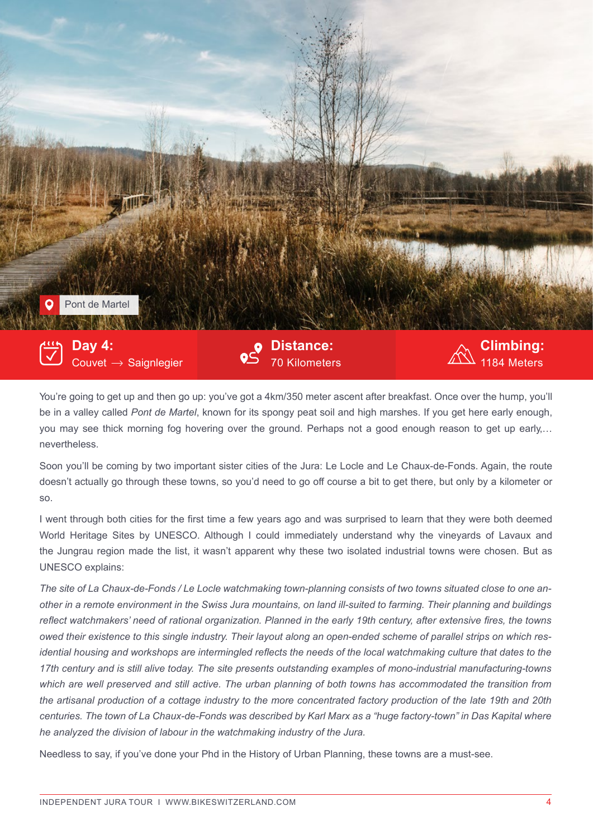

You're going to get up and then go up: you've got a 4km/350 meter ascent after breakfast. Once over the hump, you'll be in a valley called *Pont de Martel*, known for its spongy peat soil and high marshes. If you get here early enough, you may see thick morning fog hovering over the ground. Perhaps not a good enough reason to get up early,… nevertheless.

Soon you'll be coming by two important sister cities of the Jura: Le Locle and Le Chaux-de-Fonds. Again, the route doesn't actually go through these towns, so you'd need to go off course a bit to get there, but only by a kilometer or so.

I went through both cities for the first time a few years ago and was surprised to learn that they were both deemed World Heritage Sites by UNESCO. Although I could immediately understand why the vineyards of Lavaux and the Jungrau region made the list, it wasn't apparent why these two isolated industrial towns were chosen. But as UNESCO explains:

*The site of La Chaux-de-Fonds / Le Locle watchmaking town-planning consists of two towns situated close to one another in a remote environment in the Swiss Jura mountains, on land ill-suited to farming. Their planning and buildings reflect watchmakers' need of rational organization. Planned in the early 19th century, after extensive fires, the towns owed their existence to this single industry. Their layout along an open-ended scheme of parallel strips on which residential housing and workshops are intermingled reflects the needs of the local watchmaking culture that dates to the 17th century and is still alive today. The site presents outstanding examples of mono-industrial manufacturing-towns which are well preserved and still active. The urban planning of both towns has accommodated the transition from the artisanal production of a cottage industry to the more concentrated factory production of the late 19th and 20th centuries. The town of La Chaux-de-Fonds was described by Karl Marx as a "huge factory-town" in Das Kapital where he analyzed the division of labour in the watchmaking industry of the Jura.*

Needless to say, if you've done your Phd in the History of Urban Planning, these towns are a must-see.